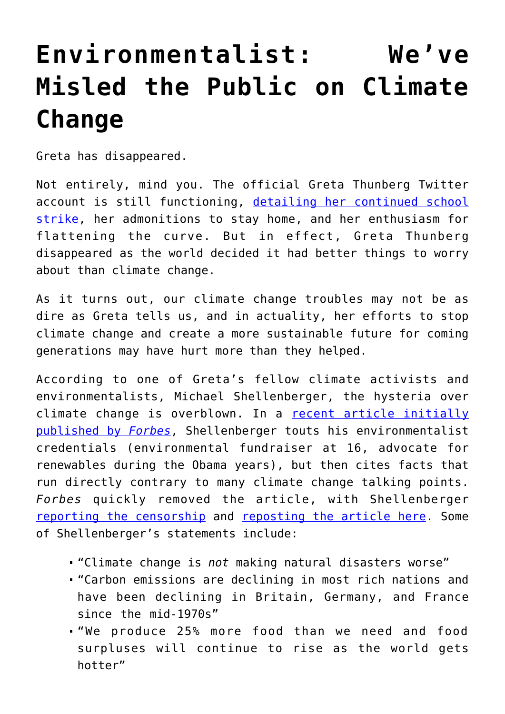## **[Environmentalist: We've](https://intellectualtakeout.org/2020/06/environmentalist-weve-misled-the-public-on-climate-change/) [Misled the Public on Climate](https://intellectualtakeout.org/2020/06/environmentalist-weve-misled-the-public-on-climate-change/) [Change](https://intellectualtakeout.org/2020/06/environmentalist-weve-misled-the-public-on-climate-change/)**

Greta has disappeared.

Not entirely, mind you. The official Greta Thunberg Twitter account is still functioning, [detailing her continued school](https://twitter.com/GretaThunberg/status/1276490769277353984) [strike,](https://twitter.com/GretaThunberg/status/1276490769277353984) her admonitions to stay home, and her enthusiasm for flattening the curve. But in effect, Greta Thunberg disappeared as the world decided it had better things to worry about than climate change.

As it turns out, our climate change troubles may not be as dire as Greta tells us, and in actuality, her efforts to stop climate change and create a more sustainable future for coming generations may have hurt more than they helped.

According to one of Greta's fellow climate activists and environmentalists, Michael Shellenberger, the hysteria over climate change is overblown. In a [recent article initially](https://www.forbes.com/sites/michaelshellenberger/2020/06/28/on-behalf-of-environmentalists-i-apologize-for-the-climate-scare/#a7b52e61fa84) [published by](https://www.forbes.com/sites/michaelshellenberger/2020/06/28/on-behalf-of-environmentalists-i-apologize-for-the-climate-scare/#a7b52e61fa84) *[Forbes](https://www.forbes.com/sites/michaelshellenberger/2020/06/28/on-behalf-of-environmentalists-i-apologize-for-the-climate-scare/#a7b52e61fa84)*, Shellenberger touts his environmentalist credentials (environmental fundraiser at 16, advocate for renewables during the Obama years), but then cites facts that run directly contrary to many climate change talking points. *Forbes* quickly removed the article, with Shellenberger [reporting the censorship](https://twitter.com/ShellenbergerMD/status/1277611390195216390) and [reposting the article here.](http://environmentalprogress.org/big-news/2020/6/29/on-behalf-of-environmentalists-i-apologize-for-the-climate-scare) Some of Shellenberger's statements include:

- "Climate change is *not* making natural disasters worse"
- "Carbon emissions are declining in most rich nations and have been declining in Britain, Germany, and France since the mid-1970s"
- "We produce 25% more food than we need and food surpluses will continue to rise as the world gets hotter"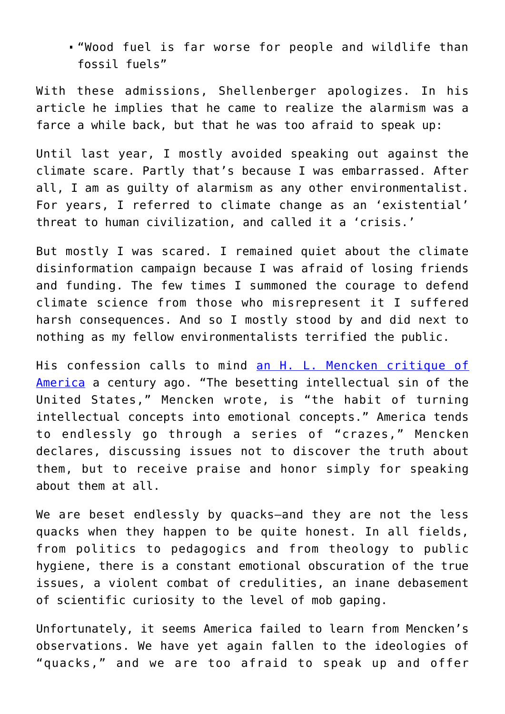"Wood fuel is far worse for people and wildlife than fossil fuels"

With these admissions, Shellenberger apologizes. In his article he implies that he came to realize the alarmism was a farce a while back, but that he was too afraid to speak up:

Until last year, I mostly avoided speaking out against the climate scare. Partly that's because I was embarrassed. After all, I am as guilty of alarmism as any other environmentalist. For years, I referred to climate change as an 'existential' threat to human civilization, and called it a 'crisis.'

But mostly I was scared. I remained quiet about the climate disinformation campaign because I was afraid of losing friends and funding. The few times I summoned the courage to defend climate science from those who misrepresent it I suffered harsh consequences. And so I mostly stood by and did next to nothing as my fellow environmentalists terrified the public.

His confession calls to mind [an H. L. Mencken critique of](https://books.google.com/books/about/Prejudices_First_Series.html?id=hgJbAAAAMAAJ&printsec=frontcover&source=kp_read_button&newbks=1&newbks_redir=0#v=onepage&q&f=false) [America](https://books.google.com/books/about/Prejudices_First_Series.html?id=hgJbAAAAMAAJ&printsec=frontcover&source=kp_read_button&newbks=1&newbks_redir=0#v=onepage&q&f=false) a century ago. "The besetting intellectual sin of the United States," Mencken wrote, is "the habit of turning intellectual concepts into emotional concepts." America tends to endlessly go through a series of "crazes," Mencken declares, discussing issues not to discover the truth about them, but to receive praise and honor simply for speaking about them at all.

We are beset endlessly by quacks-and they are not the less quacks when they happen to be quite honest. In all fields, from politics to pedagogics and from theology to public hygiene, there is a constant emotional obscuration of the true issues, a violent combat of credulities, an inane debasement of scientific curiosity to the level of mob gaping.

Unfortunately, it seems America failed to learn from Mencken's observations. We have yet again fallen to the ideologies of "quacks," and we are too afraid to speak up and offer